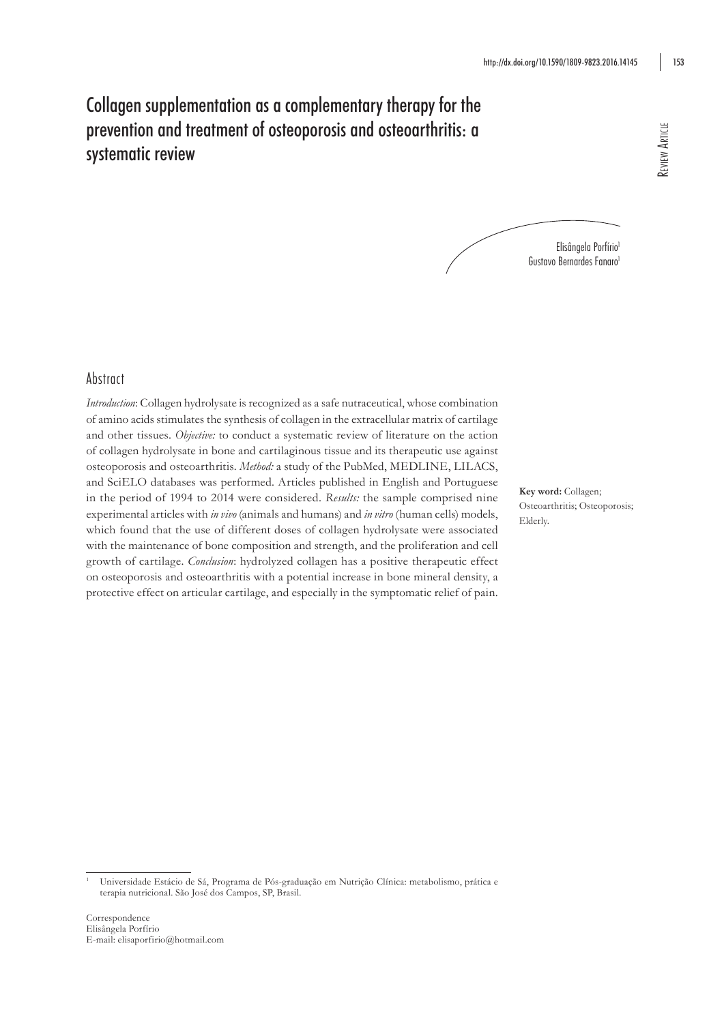# Collagen supplementation as a complementary therapy for the prevention and treatment of osteoporosis and osteoarthritis: a systematic review

Elisângela Porfírio<sup>1</sup> Gustavo Bernardes Fanaro<sup>1</sup>

# Abstract

*Introduction*: Collagen hydrolysate is recognized as a safe nutraceutical, whose combination of amino acids stimulates the synthesis of collagen in the extracellular matrix of cartilage and other tissues. *Objective:* to conduct a systematic review of literature on the action of collagen hydrolysate in bone and cartilaginous tissue and its therapeutic use against osteoporosis and osteoarthritis. *Method:* a study of the PubMed, MEDLINE, LILACS, and SciELO databases was performed. Articles published in English and Portuguese in the period of 1994 to 2014 were considered. *Results:* the sample comprised nine experimental articles with *in vivo* (animals and humans) and *in vitro* (human cells) models, which found that the use of different doses of collagen hydrolysate were associated with the maintenance of bone composition and strength, and the proliferation and cell growth of cartilage. *Conclusion*: hydrolyzed collagen has a positive therapeutic effect on osteoporosis and osteoarthritis with a potential increase in bone mineral density, a protective effect on articular cartilage, and especially in the symptomatic relief of pain.

**Key word:** Collagen; Osteoarthritis; Osteoporosis; Elderly.

<sup>1</sup> Universidade Estácio de Sá, Programa de Pós-graduação em Nutrição Clínica: metabolismo, prática e terapia nutricional. São José dos Campos, SP, Brasil.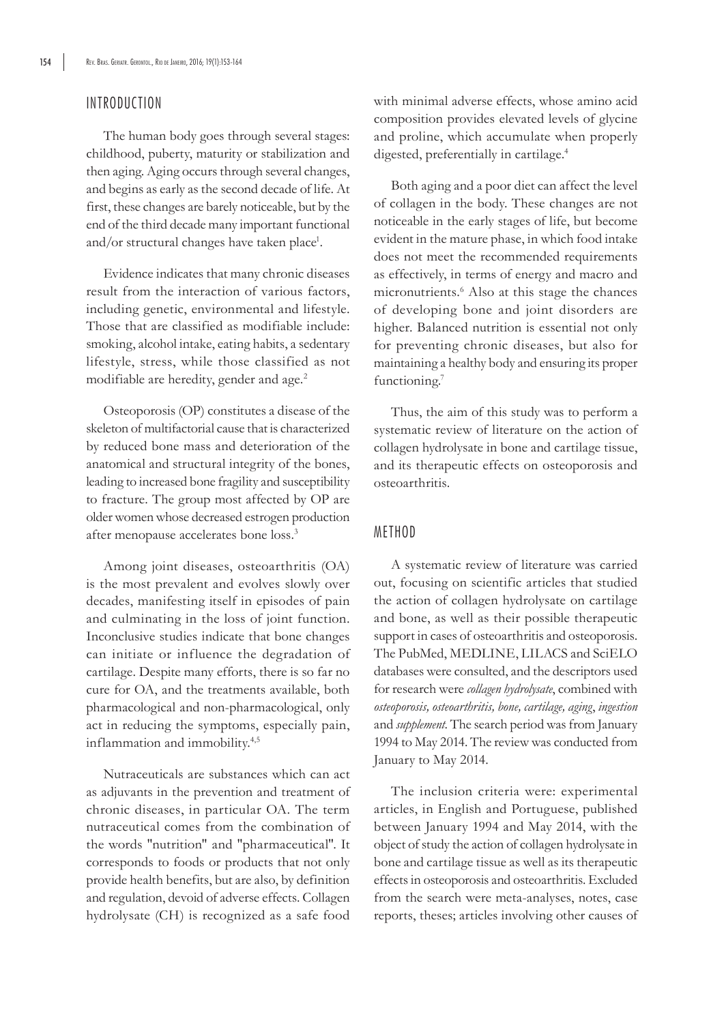## INTRODUCTION

The human body goes through several stages: childhood, puberty, maturity or stabilization and then aging. Aging occurs through several changes, and begins as early as the second decade of life. At first, these changes are barely noticeable, but by the end of the third decade many important functional and/or structural changes have taken place<sup>1</sup>.

Evidence indicates that many chronic diseases result from the interaction of various factors, including genetic, environmental and lifestyle. Those that are classified as modifiable include: smoking, alcohol intake, eating habits, a sedentary lifestyle, stress, while those classified as not modifiable are heredity, gender and age.<sup>2</sup>

Osteoporosis (OP) constitutes a disease of the skeleton of multifactorial cause that is characterized by reduced bone mass and deterioration of the anatomical and structural integrity of the bones, leading to increased bone fragility and susceptibility to fracture. The group most affected by OP are older women whose decreased estrogen production after menopause accelerates bone loss.3

Among joint diseases, osteoarthritis (OA) is the most prevalent and evolves slowly over decades, manifesting itself in episodes of pain and culminating in the loss of joint function. Inconclusive studies indicate that bone changes can initiate or influence the degradation of cartilage. Despite many efforts, there is so far no cure for OA, and the treatments available, both pharmacological and non-pharmacological, only act in reducing the symptoms, especially pain, inflammation and immobility.<sup>4,5</sup>

Nutraceuticals are substances which can act as adjuvants in the prevention and treatment of chronic diseases, in particular OA. The term nutraceutical comes from the combination of the words "nutrition" and "pharmaceutical". It corresponds to foods or products that not only provide health benefits, but are also, by definition and regulation, devoid of adverse effects. Collagen hydrolysate (CH) is recognized as a safe food

with minimal adverse effects, whose amino acid composition provides elevated levels of glycine and proline, which accumulate when properly digested, preferentially in cartilage.4

Both aging and a poor diet can affect the level of collagen in the body. These changes are not noticeable in the early stages of life, but become evident in the mature phase, in which food intake does not meet the recommended requirements as effectively, in terms of energy and macro and micronutrients.<sup>6</sup> Also at this stage the chances of developing bone and joint disorders are higher. Balanced nutrition is essential not only for preventing chronic diseases, but also for maintaining a healthy body and ensuring its proper functioning.<sup>7</sup>

Thus, the aim of this study was to perform a systematic review of literature on the action of collagen hydrolysate in bone and cartilage tissue, and its therapeutic effects on osteoporosis and osteoarthritis.

#### METHOD

A systematic review of literature was carried out, focusing on scientific articles that studied the action of collagen hydrolysate on cartilage and bone, as well as their possible therapeutic support in cases of osteoarthritis and osteoporosis. The PubMed, MEDLINE, LILACS and SciELO databases were consulted, and the descriptors used for research were *collagen hydrolysate*, combined with *osteoporosis, osteoarthritis, bone, cartilage, aging*, *ingestion*  and *supplement*. The search period was from January 1994 to May 2014. The review was conducted from January to May 2014.

The inclusion criteria were: experimental articles, in English and Portuguese, published between January 1994 and May 2014, with the object of study the action of collagen hydrolysate in bone and cartilage tissue as well as its therapeutic effects in osteoporosis and osteoarthritis. Excluded from the search were meta-analyses, notes, case reports, theses; articles involving other causes of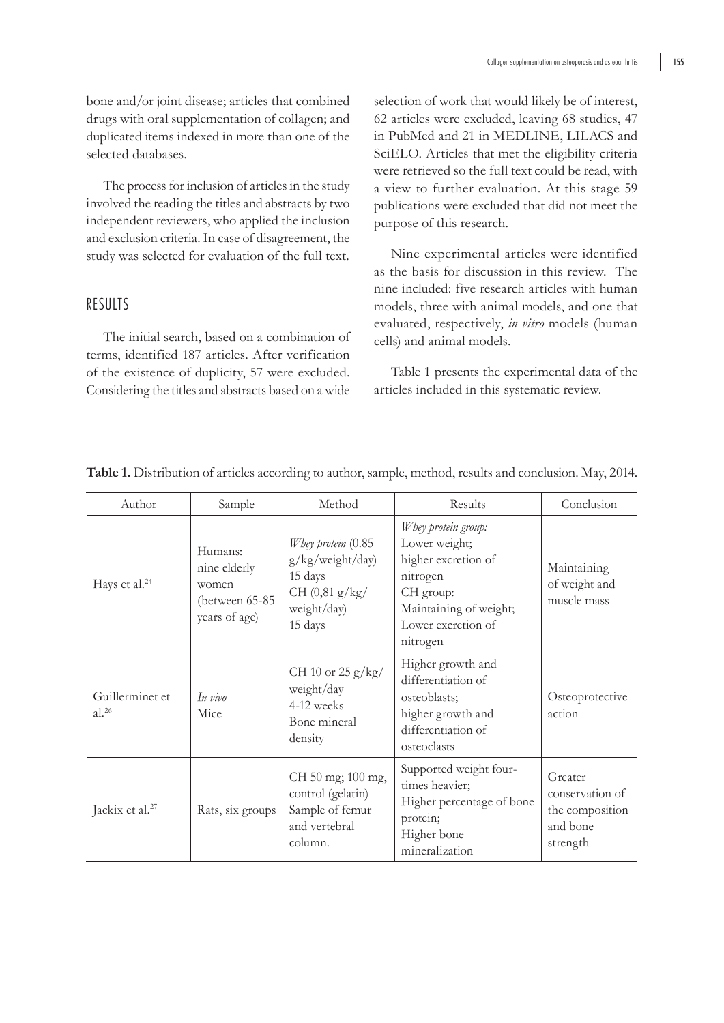bone and/or joint disease; articles that combined drugs with oral supplementation of collagen; and duplicated items indexed in more than one of the selected databases.

The process for inclusion of articles in the study involved the reading the titles and abstracts by two independent reviewers, who applied the inclusion and exclusion criteria. In case of disagreement, the study was selected for evaluation of the full text.

## RESULTS

The initial search, based on a combination of terms, identified 187 articles. After verification of the existence of duplicity, 57 were excluded. Considering the titles and abstracts based on a wide

selection of work that would likely be of interest, 62 articles were excluded, leaving 68 studies, 47 in PubMed and 21 in MEDLINE, LILACS and SciELO. Articles that met the eligibility criteria were retrieved so the full text could be read, with a view to further evaluation. At this stage 59 publications were excluded that did not meet the purpose of this research.

Nine experimental articles were identified as the basis for discussion in this review. The nine included: five research articles with human models, three with animal models, and one that evaluated, respectively, *in vitro* models (human cells) and animal models.

Table 1 presents the experimental data of the articles included in this systematic review.

| Author                        | Sample                                                              | Method                                                                                            | Results                                                                                                                                          | Conclusion                                                            |
|-------------------------------|---------------------------------------------------------------------|---------------------------------------------------------------------------------------------------|--------------------------------------------------------------------------------------------------------------------------------------------------|-----------------------------------------------------------------------|
| Hays et al. <sup>24</sup>     | Humans:<br>nine elderly<br>women<br>(between 65-85<br>years of age) | Whey protein $(0.85)$<br>g/kg/weight/day)<br>15 days<br>CH (0, 81 g/kg)<br>weight/day)<br>15 days | Whey protein group:<br>Lower weight;<br>higher excretion of<br>nitrogen<br>CH group:<br>Maintaining of weight;<br>Lower excretion of<br>nitrogen | Maintaining<br>of weight and<br>muscle mass                           |
| Guillerminet et<br>$al.^{26}$ | In vivo<br>Mice                                                     | CH 10 or 25 g/kg/<br>weight/day<br>4-12 weeks<br>Bone mineral<br>density                          | Higher growth and<br>differentiation of<br>osteoblasts;<br>higher growth and<br>differentiation of<br>osteoclasts                                | Osteoprotective<br>action                                             |
| Jackix et al. <sup>27</sup>   | Rats, six groups                                                    | CH 50 mg; 100 mg,<br>control (gelatin)<br>Sample of femur<br>and vertebral<br>column.             | Supported weight four-<br>times heavier;<br>Higher percentage of bone<br>protein;<br>Higher bone<br>mineralization                               | Greater<br>conservation of<br>the composition<br>and bone<br>strength |

#### **Table 1.** Distribution of articles according to author, sample, method, results and conclusion. May, 2014.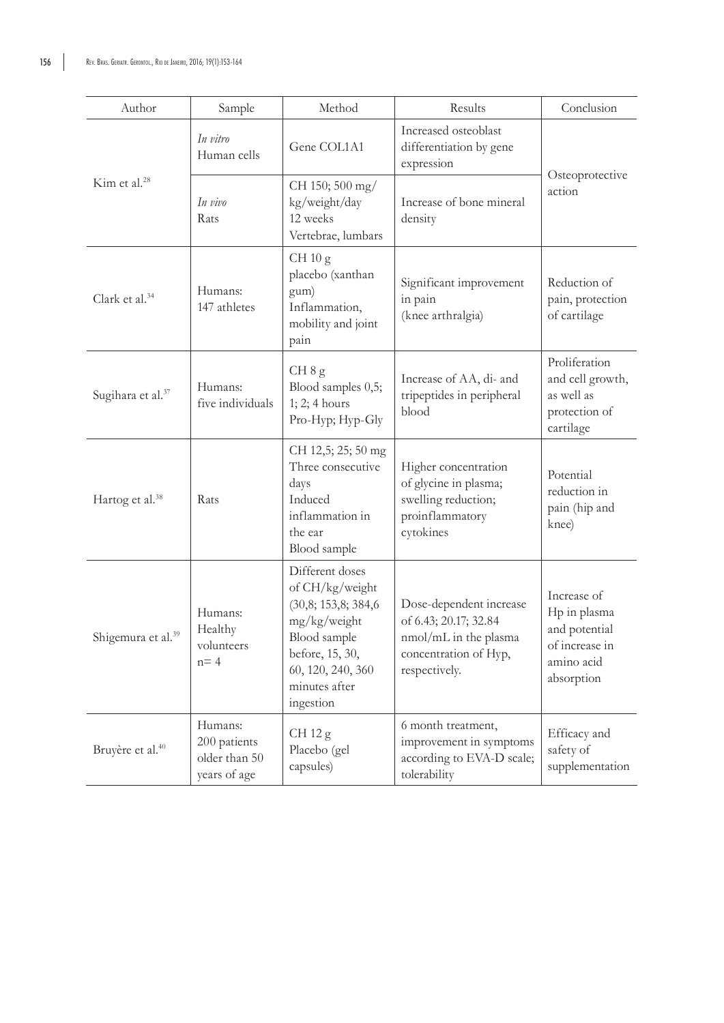| Author                         | Sample                                                   | Method                                                                                                                                                          | Results                                                                                                             | Conclusion                                                                                 |
|--------------------------------|----------------------------------------------------------|-----------------------------------------------------------------------------------------------------------------------------------------------------------------|---------------------------------------------------------------------------------------------------------------------|--------------------------------------------------------------------------------------------|
| Kim et al. <sup>28</sup>       | In vitro<br>Human cells                                  | Gene COL1A1                                                                                                                                                     | Increased osteoblast<br>differentiation by gene<br>expression                                                       | Osteoprotective<br>action                                                                  |
|                                | In vivo<br>Rats                                          | CH 150; 500 mg/<br>kg/weight/day<br>12 weeks<br>Vertebrae, lumbars                                                                                              | Increase of bone mineral<br>density                                                                                 |                                                                                            |
| Clark et al. <sup>34</sup>     | Humans:<br>147 athletes                                  | CH 10 g<br>placebo (xanthan<br>gum)<br>Inflammation,<br>mobility and joint<br>pain                                                                              | Significant improvement<br>in pain<br>(knee arthralgia)                                                             | Reduction of<br>pain, protection<br>of cartilage                                           |
| Sugihara et al. <sup>37</sup>  | Humans:<br>five individuals                              | CH 8 g<br>Blood samples 0,5;<br>1; 2; 4 hours<br>Pro-Hyp; Hyp-Gly                                                                                               | Increase of AA, di- and<br>tripeptides in peripheral<br>blood                                                       | Proliferation<br>and cell growth,<br>as well as<br>protection of<br>cartilage              |
| Hartog et al. <sup>38</sup>    | Rats                                                     | CH 12,5; 25; 50 mg<br>Three consecutive<br>days<br>Induced<br>inflammation in<br>the ear<br>Blood sample                                                        | Higher concentration<br>of glycine in plasma;<br>swelling reduction;<br>proinflammatory<br>cytokines                | Potential<br>reduction in<br>pain (hip and<br>knee)                                        |
| Shigemura et al. <sup>39</sup> | Humans:<br>Healthy<br>volunteers<br>$n = 4$              | Different doses<br>of CH/kg/weight<br>(30,8; 153,8; 384,6<br>mg/kg/weight<br>Blood sample<br>before, 15, 30,<br>60, 120, 240, 360<br>minutes after<br>ingestion | Dose-dependent increase<br>of 6.43; 20.17; 32.84<br>nmol/mL in the plasma<br>concentration of Hyp,<br>respectively. | Increase of<br>Hp in plasma<br>and potential<br>of increase in<br>amino acid<br>absorption |
| Bruyère et al. <sup>40</sup>   | Humans:<br>200 patients<br>older than 50<br>years of age | CH $12 g$<br>Placebo (gel<br>capsules)                                                                                                                          | 6 month treatment,<br>improvement in symptoms<br>according to EVA-D scale;<br>tolerability                          | Efficacy and<br>safety of<br>supplementation                                               |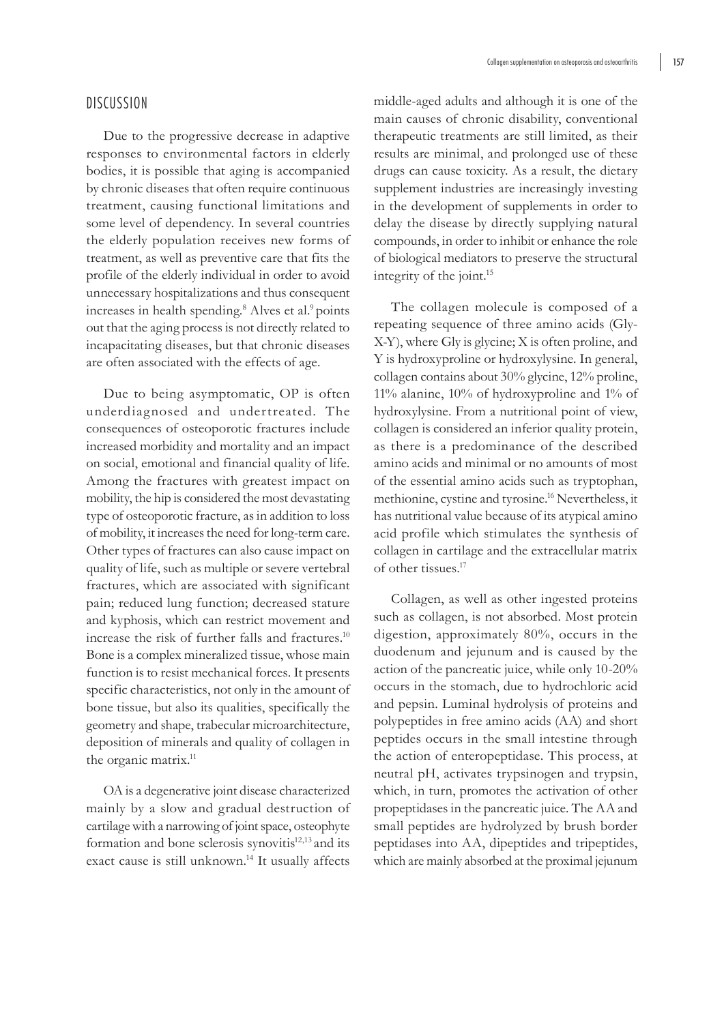Due to the progressive decrease in adaptive responses to environmental factors in elderly bodies, it is possible that aging is accompanied by chronic diseases that often require continuous treatment, causing functional limitations and some level of dependency. In several countries the elderly population receives new forms of treatment, as well as preventive care that fits the profile of the elderly individual in order to avoid unnecessary hospitalizations and thus consequent increases in health spending.<sup>8</sup> Alves et al.<sup>9</sup> points out that the aging process is not directly related to incapacitating diseases, but that chronic diseases are often associated with the effects of age.

Due to being asymptomatic, OP is often underdiagnosed and undertreated. The consequences of osteoporotic fractures include increased morbidity and mortality and an impact on social, emotional and financial quality of life. Among the fractures with greatest impact on mobility, the hip is considered the most devastating type of osteoporotic fracture, as in addition to loss of mobility, it increases the need for long-term care. Other types of fractures can also cause impact on quality of life, such as multiple or severe vertebral fractures, which are associated with significant pain; reduced lung function; decreased stature and kyphosis, which can restrict movement and increase the risk of further falls and fractures.<sup>10</sup> Bone is a complex mineralized tissue, whose main function is to resist mechanical forces. It presents specific characteristics, not only in the amount of bone tissue, but also its qualities, specifically the geometry and shape, trabecular microarchitecture, deposition of minerals and quality of collagen in the organic matrix.<sup>11</sup>

OA is a degenerative joint disease characterized mainly by a slow and gradual destruction of cartilage with a narrowing of joint space, osteophyte formation and bone sclerosis synovitis<sup>12,13</sup> and its exact cause is still unknown.14 It usually affects

middle-aged adults and although it is one of the main causes of chronic disability, conventional therapeutic treatments are still limited, as their results are minimal, and prolonged use of these drugs can cause toxicity. As a result, the dietary supplement industries are increasingly investing in the development of supplements in order to delay the disease by directly supplying natural compounds, in order to inhibit or enhance the role of biological mediators to preserve the structural integrity of the joint.15

The collagen molecule is composed of a repeating sequence of three amino acids (Gly-X-Y), where Gly is glycine; X is often proline, and Y is hydroxyproline or hydroxylysine. In general, collagen contains about 30% glycine, 12% proline, 11% alanine, 10% of hydroxyproline and 1% of hydroxylysine. From a nutritional point of view, collagen is considered an inferior quality protein, as there is a predominance of the described amino acids and minimal or no amounts of most of the essential amino acids such as tryptophan, methionine, cystine and tyrosine.16 Nevertheless, it has nutritional value because of its atypical amino acid profile which stimulates the synthesis of collagen in cartilage and the extracellular matrix of other tissues.17

Collagen, as well as other ingested proteins such as collagen, is not absorbed. Most protein digestion, approximately 80%, occurs in the duodenum and jejunum and is caused by the action of the pancreatic juice, while only 10-20% occurs in the stomach, due to hydrochloric acid and pepsin. Luminal hydrolysis of proteins and polypeptides in free amino acids (AA) and short peptides occurs in the small intestine through the action of enteropeptidase. This process, at neutral pH, activates trypsinogen and trypsin, which, in turn, promotes the activation of other propeptidases in the pancreatic juice. The AA and small peptides are hydrolyzed by brush border peptidases into AA, dipeptides and tripeptides, which are mainly absorbed at the proximal jejunum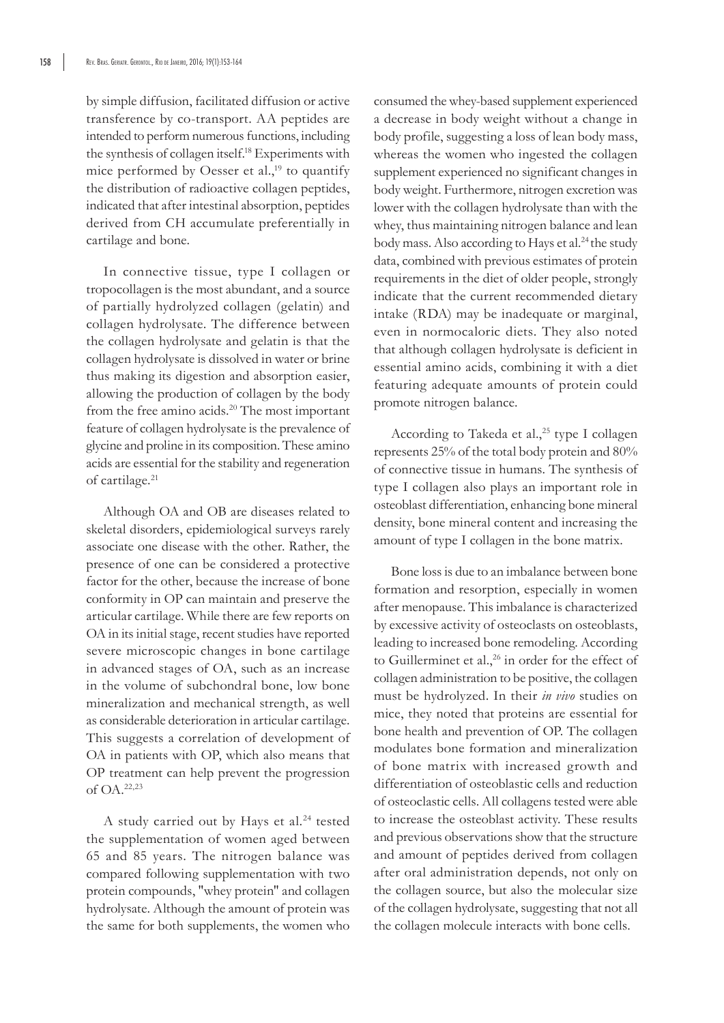by simple diffusion, facilitated diffusion or active transference by co-transport. AA peptides are intended to perform numerous functions, including the synthesis of collagen itself.18 Experiments with mice performed by Oesser et al., $19$  to quantify the distribution of radioactive collagen peptides, indicated that after intestinal absorption, peptides derived from CH accumulate preferentially in cartilage and bone.

In connective tissue, type I collagen or tropocollagen is the most abundant, and a source of partially hydrolyzed collagen (gelatin) and collagen hydrolysate. The difference between the collagen hydrolysate and gelatin is that the collagen hydrolysate is dissolved in water or brine thus making its digestion and absorption easier, allowing the production of collagen by the body from the free amino acids.<sup>20</sup> The most important feature of collagen hydrolysate is the prevalence of glycine and proline in its composition. These amino acids are essential for the stability and regeneration of cartilage.<sup>21</sup>

Although OA and OB are diseases related to skeletal disorders, epidemiological surveys rarely associate one disease with the other. Rather, the presence of one can be considered a protective factor for the other, because the increase of bone conformity in OP can maintain and preserve the articular cartilage. While there are few reports on OA in its initial stage, recent studies have reported severe microscopic changes in bone cartilage in advanced stages of OA, such as an increase in the volume of subchondral bone, low bone mineralization and mechanical strength, as well as considerable deterioration in articular cartilage. This suggests a correlation of development of OA in patients with OP, which also means that OP treatment can help prevent the progression of OA.22,23

A study carried out by Hays et al.<sup>24</sup> tested the supplementation of women aged between 65 and 85 years. The nitrogen balance was compared following supplementation with two protein compounds, "whey protein" and collagen hydrolysate. Although the amount of protein was the same for both supplements, the women who consumed the whey-based supplement experienced a decrease in body weight without a change in body profile, suggesting a loss of lean body mass, whereas the women who ingested the collagen supplement experienced no significant changes in body weight. Furthermore, nitrogen excretion was lower with the collagen hydrolysate than with the whey, thus maintaining nitrogen balance and lean body mass. Also according to Hays et al.<sup>24</sup> the study data, combined with previous estimates of protein requirements in the diet of older people, strongly indicate that the current recommended dietary intake (RDA) may be inadequate or marginal, even in normocaloric diets. They also noted that although collagen hydrolysate is deficient in essential amino acids, combining it with a diet featuring adequate amounts of protein could promote nitrogen balance.

According to Takeda et al.,<sup>25</sup> type I collagen represents 25% of the total body protein and 80% of connective tissue in humans. The synthesis of type I collagen also plays an important role in osteoblast differentiation, enhancing bone mineral density, bone mineral content and increasing the amount of type I collagen in the bone matrix.

Bone loss is due to an imbalance between bone formation and resorption, especially in women after menopause. This imbalance is characterized by excessive activity of osteoclasts on osteoblasts, leading to increased bone remodeling. According to Guillerminet et al.,<sup>26</sup> in order for the effect of collagen administration to be positive, the collagen must be hydrolyzed. In their *in vivo* studies on mice, they noted that proteins are essential for bone health and prevention of OP. The collagen modulates bone formation and mineralization of bone matrix with increased growth and differentiation of osteoblastic cells and reduction of osteoclastic cells. All collagens tested were able to increase the osteoblast activity. These results and previous observations show that the structure and amount of peptides derived from collagen after oral administration depends, not only on the collagen source, but also the molecular size of the collagen hydrolysate, suggesting that not all the collagen molecule interacts with bone cells.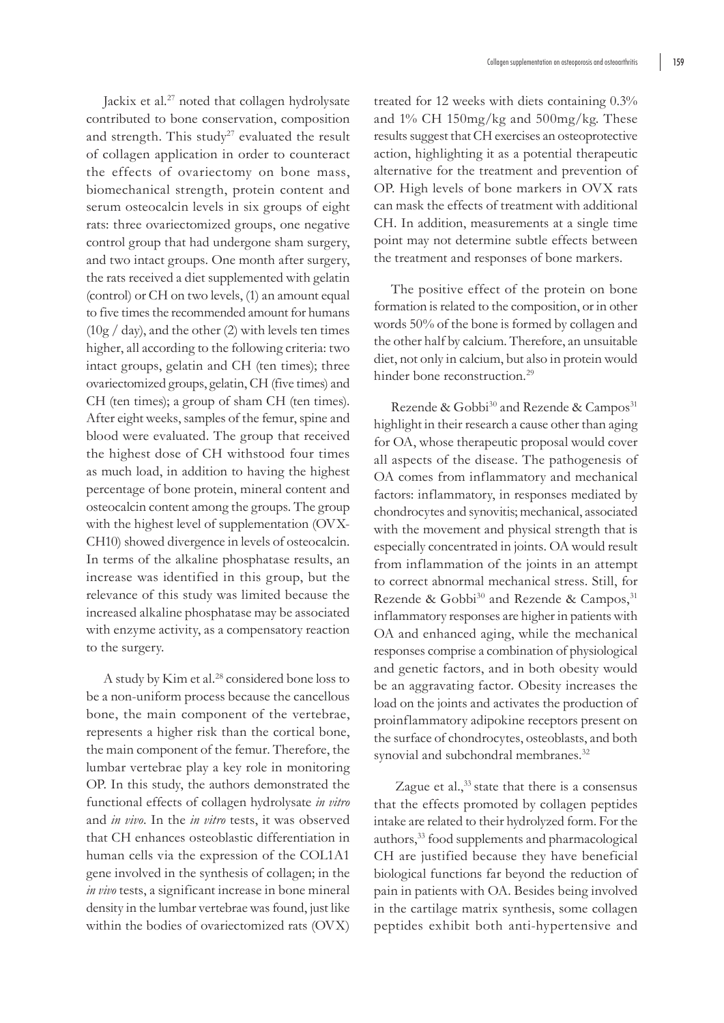Jackix et al.<sup>27</sup> noted that collagen hydrolysate contributed to bone conservation, composition and strength. This study<sup>27</sup> evaluated the result of collagen application in order to counteract the effects of ovariectomy on bone mass, biomechanical strength, protein content and serum osteocalcin levels in six groups of eight rats: three ovariectomized groups, one negative control group that had undergone sham surgery, and two intact groups. One month after surgery, the rats received a diet supplemented with gelatin (control) or CH on two levels, (1) an amount equal to five times the recommended amount for humans  $(10g / day)$ , and the other (2) with levels ten times higher, all according to the following criteria: two intact groups, gelatin and CH (ten times); three ovariectomized groups, gelatin, CH (five times) and CH (ten times); a group of sham CH (ten times). After eight weeks, samples of the femur, spine and blood were evaluated. The group that received the highest dose of CH withstood four times as much load, in addition to having the highest percentage of bone protein, mineral content and osteocalcin content among the groups. The group with the highest level of supplementation (OVX-CH10) showed divergence in levels of osteocalcin. In terms of the alkaline phosphatase results, an increase was identified in this group, but the relevance of this study was limited because the increased alkaline phosphatase may be associated with enzyme activity, as a compensatory reaction to the surgery.

A study by Kim et al.<sup>28</sup> considered bone loss to be a non-uniform process because the cancellous bone, the main component of the vertebrae, represents a higher risk than the cortical bone, the main component of the femur. Therefore, the lumbar vertebrae play a key role in monitoring OP. In this study, the authors demonstrated the functional effects of collagen hydrolysate *in vitro* and *in vivo*. In the *in vitro* tests, it was observed that CH enhances osteoblastic differentiation in human cells via the expression of the COL1A1 gene involved in the synthesis of collagen; in the *in vivo* tests, a significant increase in bone mineral density in the lumbar vertebrae was found, just like within the bodies of ovariectomized rats (OVX)

treated for 12 weeks with diets containing 0.3% and 1% CH 150mg/kg and 500mg/kg. These results suggest that CH exercises an osteoprotective action, highlighting it as a potential therapeutic alternative for the treatment and prevention of OP. High levels of bone markers in OVX rats can mask the effects of treatment with additional CH. In addition, measurements at a single time point may not determine subtle effects between the treatment and responses of bone markers.

The positive effect of the protein on bone formation is related to the composition, or in other words 50% of the bone is formed by collagen and the other half by calcium. Therefore, an unsuitable diet, not only in calcium, but also in protein would hinder bone reconstruction.<sup>29</sup>

Rezende & Gobbi<sup>30</sup> and Rezende & Campos<sup>31</sup> highlight in their research a cause other than aging for OA, whose therapeutic proposal would cover all aspects of the disease. The pathogenesis of OA comes from inflammatory and mechanical factors: inflammatory, in responses mediated by chondrocytes and synovitis; mechanical, associated with the movement and physical strength that is especially concentrated in joints. OA would result from inflammation of the joints in an attempt to correct abnormal mechanical stress. Still, for Rezende & Gobbi<sup>30</sup> and Rezende & Campos,<sup>31</sup> inflammatory responses are higher in patients with OA and enhanced aging, while the mechanical responses comprise a combination of physiological and genetic factors, and in both obesity would be an aggravating factor. Obesity increases the load on the joints and activates the production of proinflammatory adipokine receptors present on the surface of chondrocytes, osteoblasts, and both synovial and subchondral membranes.<sup>32</sup>

Zague et al., $33$  state that there is a consensus that the effects promoted by collagen peptides intake are related to their hydrolyzed form. For the authors,33 food supplements and pharmacological CH are justified because they have beneficial biological functions far beyond the reduction of pain in patients with OA. Besides being involved in the cartilage matrix synthesis, some collagen peptides exhibit both anti-hypertensive and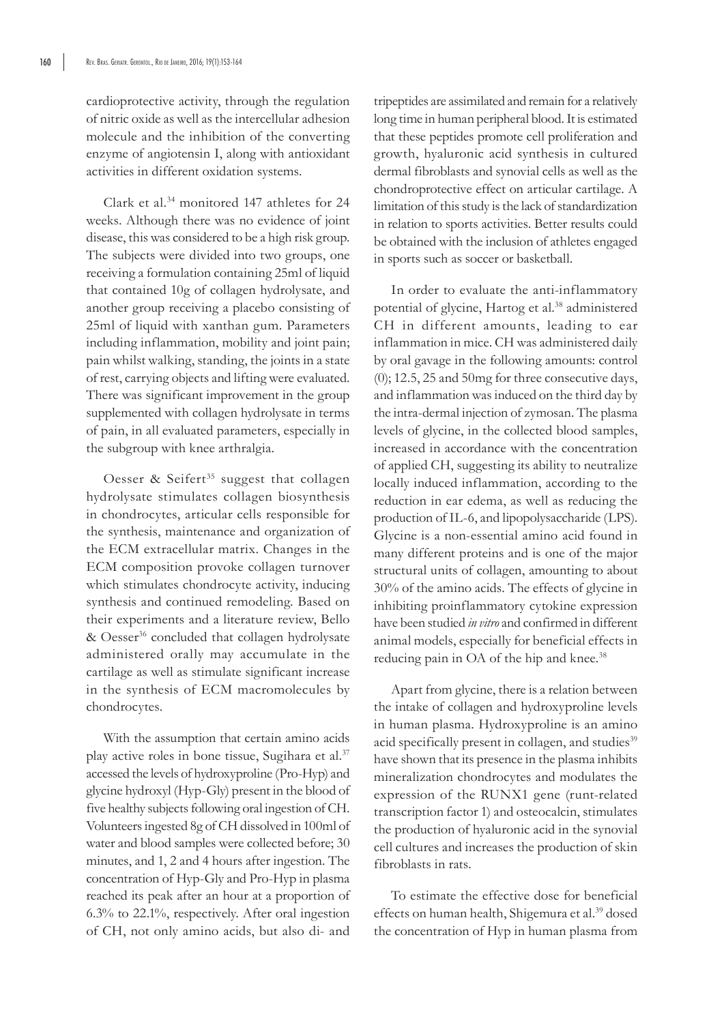cardioprotective activity, through the regulation of nitric oxide as well as the intercellular adhesion molecule and the inhibition of the converting enzyme of angiotensin I, along with antioxidant activities in different oxidation systems.

Clark et al.34 monitored 147 athletes for 24 weeks. Although there was no evidence of joint disease, this was considered to be a high risk group. The subjects were divided into two groups, one receiving a formulation containing 25ml of liquid that contained 10g of collagen hydrolysate, and another group receiving a placebo consisting of 25ml of liquid with xanthan gum. Parameters including inflammation, mobility and joint pain; pain whilst walking, standing, the joints in a state of rest, carrying objects and lifting were evaluated. There was significant improvement in the group supplemented with collagen hydrolysate in terms of pain, in all evaluated parameters, especially in the subgroup with knee arthralgia.

Oesser & Seifert<sup>35</sup> suggest that collagen hydrolysate stimulates collagen biosynthesis in chondrocytes, articular cells responsible for the synthesis, maintenance and organization of the ECM extracellular matrix. Changes in the ECM composition provoke collagen turnover which stimulates chondrocyte activity, inducing synthesis and continued remodeling. Based on their experiments and a literature review, Bello & Oesser<sup>36</sup> concluded that collagen hydrolysate administered orally may accumulate in the cartilage as well as stimulate significant increase in the synthesis of ECM macromolecules by chondrocytes.

With the assumption that certain amino acids play active roles in bone tissue, Sugihara et al.<sup>37</sup> accessed the levels of hydroxyproline (Pro-Hyp) and glycine hydroxyl (Hyp-Gly) present in the blood of five healthy subjects following oral ingestion of CH. Volunteers ingested 8g of CH dissolved in 100ml of water and blood samples were collected before; 30 minutes, and 1, 2 and 4 hours after ingestion. The concentration of Hyp-Gly and Pro-Hyp in plasma reached its peak after an hour at a proportion of 6.3% to 22.1%, respectively. After oral ingestion of CH, not only amino acids, but also di- and tripeptides are assimilated and remain for a relatively long time in human peripheral blood. It is estimated that these peptides promote cell proliferation and growth, hyaluronic acid synthesis in cultured dermal fibroblasts and synovial cells as well as the chondroprotective effect on articular cartilage. A limitation of this study is the lack of standardization in relation to sports activities. Better results could be obtained with the inclusion of athletes engaged in sports such as soccer or basketball.

In order to evaluate the anti-inflammatory potential of glycine, Hartog et al.<sup>38</sup> administered CH in different amounts, leading to ear inflammation in mice. CH was administered daily by oral gavage in the following amounts: control (0); 12.5, 25 and 50mg for three consecutive days, and inflammation was induced on the third day by the intra-dermal injection of zymosan. The plasma levels of glycine, in the collected blood samples, increased in accordance with the concentration of applied CH, suggesting its ability to neutralize locally induced inflammation, according to the reduction in ear edema, as well as reducing the production of IL-6, and lipopolysaccharide (LPS). Glycine is a non-essential amino acid found in many different proteins and is one of the major structural units of collagen, amounting to about 30% of the amino acids. The effects of glycine in inhibiting proinflammatory cytokine expression have been studied *in vitro* and confirmed in different animal models, especially for beneficial effects in reducing pain in OA of the hip and knee.<sup>38</sup>

Apart from glycine, there is a relation between the intake of collagen and hydroxyproline levels in human plasma. Hydroxyproline is an amino acid specifically present in collagen, and studies<sup>39</sup> have shown that its presence in the plasma inhibits mineralization chondrocytes and modulates the expression of the RUNX1 gene (runt-related transcription factor 1) and osteocalcin, stimulates the production of hyaluronic acid in the synovial cell cultures and increases the production of skin fibroblasts in rats.

To estimate the effective dose for beneficial effects on human health, Shigemura et al.<sup>39</sup> dosed the concentration of Hyp in human plasma from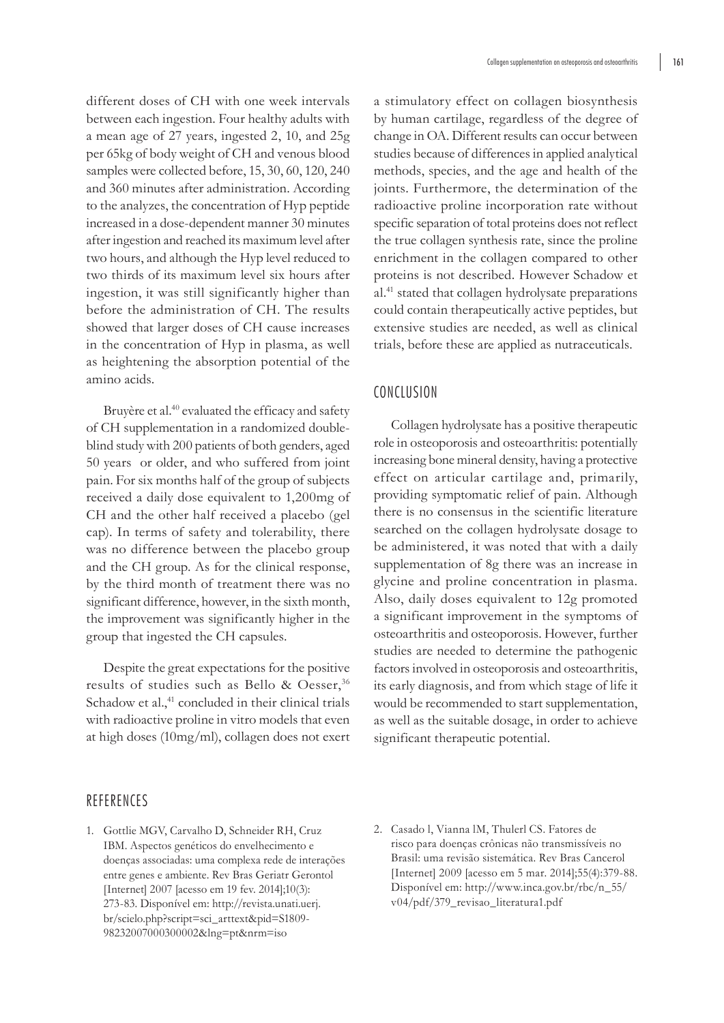different doses of CH with one week intervals between each ingestion. Four healthy adults with a mean age of 27 years, ingested 2, 10, and 25g per 65kg of body weight of CH and venous blood samples were collected before, 15, 30, 60, 120, 240 and 360 minutes after administration. According to the analyzes, the concentration of Hyp peptide increased in a dose-dependent manner 30 minutes after ingestion and reached its maximum level after two hours, and although the Hyp level reduced to two thirds of its maximum level six hours after ingestion, it was still significantly higher than before the administration of CH. The results showed that larger doses of CH cause increases in the concentration of Hyp in plasma, as well as heightening the absorption potential of the amino acids.

Bruyère et al.<sup>40</sup> evaluated the efficacy and safety of CH supplementation in a randomized doubleblind study with 200 patients of both genders, aged 50 years or older, and who suffered from joint pain. For six months half of the group of subjects received a daily dose equivalent to 1,200mg of CH and the other half received a placebo (gel cap). In terms of safety and tolerability, there was no difference between the placebo group and the CH group. As for the clinical response, by the third month of treatment there was no significant difference, however, in the sixth month, the improvement was significantly higher in the group that ingested the CH capsules.

Despite the great expectations for the positive results of studies such as Bello & Oesser,<sup>36</sup> Schadow et al.,<sup>41</sup> concluded in their clinical trials with radioactive proline in vitro models that even at high doses (10mg/ml), collagen does not exert

a stimulatory effect on collagen biosynthesis by human cartilage, regardless of the degree of change in OA. Different results can occur between studies because of differences in applied analytical methods, species, and the age and health of the joints. Furthermore, the determination of the radioactive proline incorporation rate without specific separation of total proteins does not reflect the true collagen synthesis rate, since the proline enrichment in the collagen compared to other proteins is not described. However Schadow et al.41 stated that collagen hydrolysate preparations could contain therapeutically active peptides, but extensive studies are needed, as well as clinical trials, before these are applied as nutraceuticals.

## **CONCLUSION**

Collagen hydrolysate has a positive therapeutic role in osteoporosis and osteoarthritis: potentially increasing bone mineral density, having a protective effect on articular cartilage and, primarily, providing symptomatic relief of pain. Although there is no consensus in the scientific literature searched on the collagen hydrolysate dosage to be administered, it was noted that with a daily supplementation of 8g there was an increase in glycine and proline concentration in plasma. Also, daily doses equivalent to 12g promoted a significant improvement in the symptoms of osteoarthritis and osteoporosis. However, further studies are needed to determine the pathogenic factors involved in osteoporosis and osteoarthritis, its early diagnosis, and from which stage of life it would be recommended to start supplementation, as well as the suitable dosage, in order to achieve significant therapeutic potential.

### REFERENCES

- 1. Gottlie MGV, Carvalho D, Schneider RH, Cruz IBM. Aspectos genéticos do envelhecimento e doenças associadas: uma complexa rede de interações entre genes e ambiente. Rev Bras Geriatr Gerontol [Internet] 2007 [acesso em 19 fev. 2014];10(3): 273-83. Disponível em: http://revista.unati.uerj. br/scielo.php?script=sci\_arttext&pid=S1809- 98232007000300002&lng=pt&nrm=iso
- 2. Casado l, Vianna lM, Thulerl CS. Fatores de risco para doenças crônicas não transmissíveis no Brasil: uma revisão sistemática. Rev Bras Cancerol [Internet] 2009 [acesso em 5 mar. 2014];55(4):379-88. Disponível em: http://www.inca.gov.br/rbc/n\_55/ v04/pdf/379\_revisao\_literatura1.pdf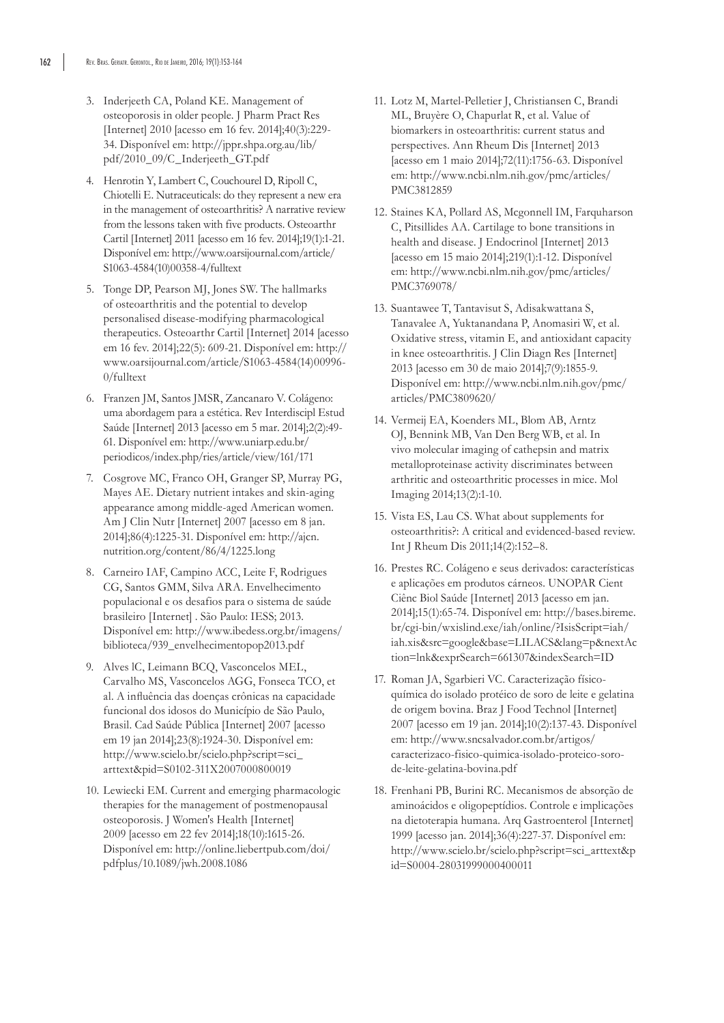- 3. Inderjeeth CA, Poland KE. Management of osteoporosis in older people. J Pharm Pract Res [Internet] 2010 [acesso em 16 fev. 2014];40(3):229- 34. Disponível em: http://jppr.shpa.org.au/lib/ pdf/2010\_09/C\_Inderjeeth\_GT.pdf
- 4. Henrotin Y, Lambert C, Couchourel D, Ripoll C, Chiotelli E. Nutraceuticals: do they represent a new era in the management of osteoarthritis? A narrative review from the lessons taken with five products. Osteoarthr Cartil [Internet] 2011 [acesso em 16 fev. 2014];19(1):1-21. Disponível em: http://www.oarsijournal.com/article/ S1063-4584(10)00358-4/fulltext
- 5. Tonge DP, Pearson MJ, Jones SW. The hallmarks of osteoarthritis and the potential to develop personalised disease-modifying pharmacological therapeutics. Osteoarthr Cartil [Internet] 2014 [acesso em 16 fev. 2014];22(5): 609-21. Disponível em: http:// www.oarsijournal.com/article/S1063-4584(14)00996- 0/fulltext
- 6. Franzen JM, Santos JMSR, Zancanaro V. Colágeno: uma abordagem para a estética. Rev Interdiscipl Estud Saúde [Internet] 2013 [acesso em 5 mar. 2014];2(2):49- 61. Disponível em: http://www.uniarp.edu.br/ periodicos/index.php/ries/article/view/161/171
- 7. Cosgrove MC, Franco OH, Granger SP, Murray PG, Mayes AE. Dietary nutrient intakes and skin-aging appearance among middle-aged American women. Am J Clin Nutr [Internet] 2007 [acesso em 8 jan. 2014];86(4):1225-31. Disponível em: http://ajcn. nutrition.org/content/86/4/1225.long
- 8. Carneiro IAF, Campino ACC, Leite F, Rodrigues CG, Santos GMM, Silva ARA. Envelhecimento populacional e os desafios para o sistema de saúde brasileiro [Internet] . São Paulo: IESS; 2013. Disponível em: http://www.ibedess.org.br/imagens/ biblioteca/939\_envelhecimentopop2013.pdf
- 9. Alves lC, Leimann BCQ, Vasconcelos MEL, Carvalho MS, Vasconcelos AGG, Fonseca TCO, et al. A influência das doenças crônicas na capacidade funcional dos idosos do Município de São Paulo, Brasil. Cad Saúde Pública [Internet] 2007 [acesso em 19 jan 2014];23(8):1924-30. Disponível em: http://www.scielo.br/scielo.php?script=sci\_ arttext&pid=S0102-311X2007000800019
- 10. Lewiecki EM. Current and emerging pharmacologic therapies for the management of postmenopausal osteoporosis. J Women's Health [Internet] 2009 [acesso em 22 fev 2014];18(10):1615-26. Disponível em: http://online.liebertpub.com/doi/ pdfplus/10.1089/jwh.2008.1086
- 11. Lotz M, Martel-Pelletier J, Christiansen C, Brandi ML, Bruyère O, Chapurlat R, et al. Value of biomarkers in osteoarthritis: current status and perspectives. Ann Rheum Dis [Internet] 2013 [acesso em 1 maio 2014];72(11):1756-63. Disponível em: http://www.ncbi.nlm.nih.gov/pmc/articles/ PMC3812859
- 12. Staines KA, Pollard AS, Mcgonnell IM, Farquharson C, Pitsillides AA. Cartilage to bone transitions in health and disease. J Endocrinol [Internet] 2013 [acesso em 15 maio 2014];219(1):1-12. Disponível em: http://www.ncbi.nlm.nih.gov/pmc/articles/ PMC3769078/
- 13. Suantawee T, Tantavisut S, Adisakwattana S, Tanavalee A, Yuktanandana P, Anomasiri W, et al. Oxidative stress, vitamin E, and antioxidant capacity in knee osteoarthritis. J Clin Diagn Res [Internet] 2013 [acesso em 30 de maio 2014];7(9):1855-9. Disponível em: http://www.ncbi.nlm.nih.gov/pmc/ articles/PMC3809620/
- 14. Vermeij EA, Koenders ML, Blom AB, Arntz OJ, Bennink MB, Van Den Berg WB, et al. In vivo molecular imaging of cathepsin and matrix metalloproteinase activity discriminates between arthritic and osteoarthritic processes in mice. Mol Imaging 2014;13(2):1-10.
- 15. Vista ES, Lau CS. What about supplements for osteoarthritis?: A critical and evidenced-based review. Int J Rheum Dis 2011;14(2):152–8.
- 16. Prestes RC. Colágeno e seus derivados: características e aplicações em produtos cárneos. UNOPAR Cient Ciênc Biol Saúde [Internet] 2013 [acesso em jan. 2014];15(1):65-74. Disponível em: http://bases.bireme. br/cgi-bin/wxislind.exe/iah/online/?IsisScript=iah/ iah.xis&src=google&base=LILACS&lang=p&nextAc tion=lnk&exprSearch=661307&indexSearch=ID
- 17. Roman JA, Sgarbieri VC. Caracterização físicoquímica do isolado protéico de soro de leite e gelatina de origem bovina. Braz J Food Technol [Internet] 2007 [acesso em 19 jan. 2014];10(2):137-43. Disponível em: http://www.sncsalvador.com.br/artigos/ caracterizaco-fisico-quimica-isolado-proteico-sorode-leite-gelatina-bovina.pdf
- 18. Frenhani PB, Burini RC. Mecanismos de absorção de aminoácidos e oligopeptídios. Controle e implicações na dietoterapia humana. Arq Gastroenterol [Internet] 1999 [acesso jan. 2014];36(4):227-37. Disponível em: http://www.scielo.br/scielo.php?script=sci\_arttext&p id=S0004-28031999000400011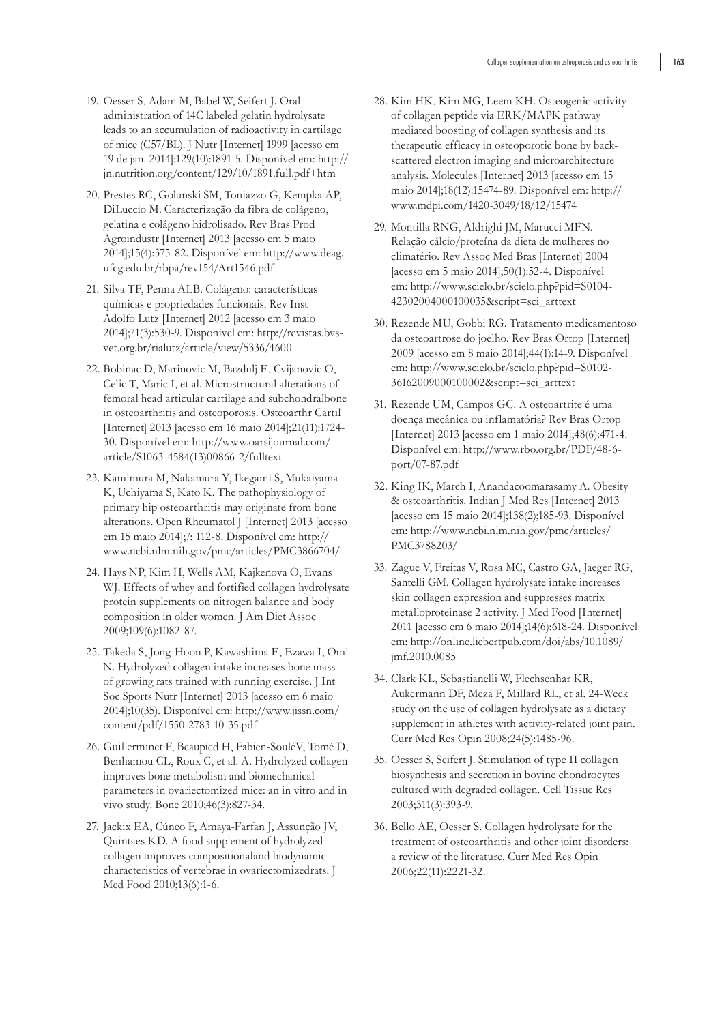- 19. Oesser S, Adam M, Babel W, Seifert J. Oral administration of 14C labeled gelatin hydrolysate leads to an accumulation of radioactivity in cartilage of mice (C57/BL). J Nutr [Internet] 1999 [acesso em 19 de jan. 2014];129(10):1891-5. Disponível em: http:// jn.nutrition.org/content/129/10/1891.full.pdf+htm
- 20. Prestes RC, Golunski SM, Toniazzo G, Kempka AP, DiLuccio M. Caracterização da fibra de colágeno, gelatina e colágeno hidrolisado. Rev Bras Prod Agroindustr [Internet] 2013 [acesso em 5 maio 2014];15(4):375-82. Disponível em: http://www.deag. ufcg.edu.br/rbpa/rev154/Art1546.pdf
- 21. Silva TF, Penna ALB. Colágeno: características químicas e propriedades funcionais. Rev Inst Adolfo Lutz [Internet] 2012 [acesso em 3 maio 2014];71(3):530-9. Disponível em: http://revistas.bvsvet.org.br/rialutz/article/view/5336/4600
- 22. Bobinac D, Marinovic M, Bazdulj E, Cvijanovic O, Celic T, Maric I, et al. Microstructural alterations of femoral head articular cartilage and subchondralbone in osteoarthritis and osteoporosis. Osteoarthr Cartil [Internet] 2013 [acesso em 16 maio 2014];21(11):1724- 30. Disponível em: http://www.oarsijournal.com/ article/S1063-4584(13)00866-2/fulltext
- 23. Kamimura M, Nakamura Y, Ikegami S, Mukaiyama K, Uchiyama S, Kato K. The pathophysiology of primary hip osteoarthritis may originate from bone alterations. Open Rheumatol J [Internet] 2013 [acesso em 15 maio 2014];7: 112-8. Disponível em: http:// www.ncbi.nlm.nih.gov/pmc/articles/PMC3866704/
- 24. Hays NP, Kim H, Wells AM, Kajkenova O, Evans WJ. Effects of whey and fortified collagen hydrolysate protein supplements on nitrogen balance and body composition in older women. J Am Diet Assoc 2009;109(6):1082-87.
- 25. Takeda S, Jong-Hoon P, Kawashima E, Ezawa I, Omi N. Hydrolyzed collagen intake increases bone mass of growing rats trained with running exercise. J Int Soc Sports Nutr [Internet] 2013 [acesso em 6 maio 2014];10(35). Disponível em: http://www.jissn.com/ content/pdf/1550-2783-10-35.pdf
- 26. Guillerminet F, Beaupied H, Fabien-SouléV, Tomé D, Benhamou CL, Roux C, et al. A. Hydrolyzed collagen improves bone metabolism and biomechanical parameters in ovariectomized mice: an in vitro and in vivo study. Bone 2010;46(3):827-34.
- 27. Jackix EA, Cúneo F, Amaya-Farfan J, Assunção JV, Quintaes KD. A food supplement of hydrolyzed collagen improves compositionaland biodynamic characteristics of vertebrae in ovariectomizedrats. J Med Food 2010;13(6):1-6.
- 28. Kim HK, Kim MG, Leem KH. Osteogenic activity of collagen peptide via ERK/MAPK pathway mediated boosting of collagen synthesis and its therapeutic efficacy in osteoporotic bone by backscattered electron imaging and microarchitecture analysis. Molecules [Internet] 2013 [acesso em 15 maio 2014];18(12):15474-89. Disponível em: http:// www.mdpi.com/1420-3049/18/12/15474
- 29. Montilla RNG, Aldrighi JM, Marucci MFN. Relação cálcio/proteína da dieta de mulheres no climatério. Rev Assoc Med Bras [Internet] 2004 [acesso em 5 maio 2014];50(1):52-4. Disponível em: http://www.scielo.br/scielo.php?pid=S0104- 42302004000100035&script=sci\_arttext
- 30. Rezende MU, Gobbi RG. Tratamento medicamentoso da osteoartrose do joelho. Rev Bras Ortop [Internet] 2009 [acesso em 8 maio 2014];44(1):14-9. Disponível em: http://www.scielo.br/scielo.php?pid=S0102- 36162009000100002&script=sci\_arttext
- 31. Rezende UM, Campos GC. A osteoartrite é uma doença mecânica ou inflamatória? Rev Bras Ortop [Internet] 2013 [acesso em 1 maio 2014];48(6):471-4. Disponível em: http://www.rbo.org.br/PDF/48-6 port/07-87.pdf
- 32. King IK, March I, Anandacoomarasamy A. Obesity & osteoarthritis. Indian J Med Res [Internet] 2013 [acesso em 15 maio 2014];138(2);185-93. Disponível em: http://www.ncbi.nlm.nih.gov/pmc/articles/ PMC3788203/
- 33. Zague V, Freitas V, Rosa MC, Castro GA, Jaeger RG, Santelli GM. Collagen hydrolysate intake increases skin collagen expression and suppresses matrix metalloproteinase 2 activity. J Med Food [Internet] 2011 [acesso em 6 maio 2014];14(6):618-24. Disponível em: http://online.liebertpub.com/doi/abs/10.1089/ jmf.2010.0085
- 34. Clark KL, Sebastianelli W, Flechsenhar KR, Aukermann DF, Meza F, Millard RL, et al. 24-Week study on the use of collagen hydrolysate as a dietary supplement in athletes with activity-related joint pain. Curr Med Res Opin 2008;24(5):1485-96.
- 35. Oesser S, Seifert J. Stimulation of type II collagen biosynthesis and secretion in bovine chondrocytes cultured with degraded collagen. Cell Tissue Res 2003;311(3):393-9.
- 36. Bello AE, Oesser S. Collagen hydrolysate for the treatment of osteoarthritis and other joint disorders: a review of the literature. Curr Med Res Opin 2006;22(11):2221-32.